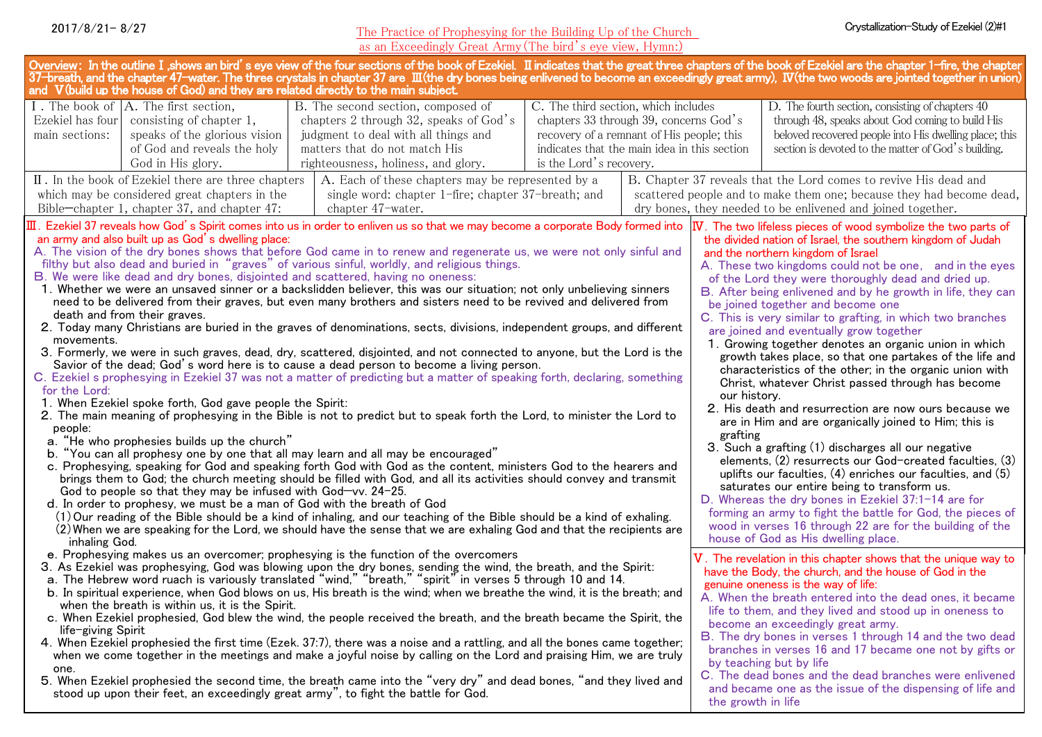#### The Practice of Prophesying for the Building Up of the Church as an Exceedingly Great Army(The bird's eye view, Hymn:)

| as an Exceedingly Great Army (The bird's eye view, Hymn:)                                                                                                                                                                                                                                                                                                                                                                                                                                                                                                                                                                                                                                                                                                                                                                                                                                                                                                                                                                                                                                                                                                                                                                                                                                                                                                                                                                                                                                                                                                                                                                                                                                                                                                                                                                                                                                                                                                                                                                                                                                                                                                                                                                                                                                                                                                                                                                                                                                                                                                                                                                                                                                                                                                                                                                                                                                                                                                                                                                                                                                                                                                                                                                                                                                                                                                                                                                                                                                                                                                                                                                                                      |                                                                                                                                                                                              |                                                                                                                                                                                                                                                                                                                                                                                                                                 |                    |                                                           |                                                                                                                                                                                                                                                                                                                                                                                                                                                                                                                                         |  |
|----------------------------------------------------------------------------------------------------------------------------------------------------------------------------------------------------------------------------------------------------------------------------------------------------------------------------------------------------------------------------------------------------------------------------------------------------------------------------------------------------------------------------------------------------------------------------------------------------------------------------------------------------------------------------------------------------------------------------------------------------------------------------------------------------------------------------------------------------------------------------------------------------------------------------------------------------------------------------------------------------------------------------------------------------------------------------------------------------------------------------------------------------------------------------------------------------------------------------------------------------------------------------------------------------------------------------------------------------------------------------------------------------------------------------------------------------------------------------------------------------------------------------------------------------------------------------------------------------------------------------------------------------------------------------------------------------------------------------------------------------------------------------------------------------------------------------------------------------------------------------------------------------------------------------------------------------------------------------------------------------------------------------------------------------------------------------------------------------------------------------------------------------------------------------------------------------------------------------------------------------------------------------------------------------------------------------------------------------------------------------------------------------------------------------------------------------------------------------------------------------------------------------------------------------------------------------------------------------------------------------------------------------------------------------------------------------------------------------------------------------------------------------------------------------------------------------------------------------------------------------------------------------------------------------------------------------------------------------------------------------------------------------------------------------------------------------------------------------------------------------------------------------------------------------------------------------------------------------------------------------------------------------------------------------------------------------------------------------------------------------------------------------------------------------------------------------------------------------------------------------------------------------------------------------------------------------------------------------------------------------------------------------------------|----------------------------------------------------------------------------------------------------------------------------------------------------------------------------------------------|---------------------------------------------------------------------------------------------------------------------------------------------------------------------------------------------------------------------------------------------------------------------------------------------------------------------------------------------------------------------------------------------------------------------------------|--------------------|-----------------------------------------------------------|-----------------------------------------------------------------------------------------------------------------------------------------------------------------------------------------------------------------------------------------------------------------------------------------------------------------------------------------------------------------------------------------------------------------------------------------------------------------------------------------------------------------------------------------|--|
| Overview: In the outline I ,shows an bird's eye view of the four sections of the book of Ezekiel. II indicates that the great three chapters of the book of Ezekiel are the chapter 1–fire, the chapter<br>37-breath, and the chapter 47-water. The three crystals in chapter 37 are III (the dry bones being enlivened to become an exceedingly great army), IV (the two woods are jointed together in union)<br>and V(build up the house of God) and they are related directly to the main subject.                                                                                                                                                                                                                                                                                                                                                                                                                                                                                                                                                                                                                                                                                                                                                                                                                                                                                                                                                                                                                                                                                                                                                                                                                                                                                                                                                                                                                                                                                                                                                                                                                                                                                                                                                                                                                                                                                                                                                                                                                                                                                                                                                                                                                                                                                                                                                                                                                                                                                                                                                                                                                                                                                                                                                                                                                                                                                                                                                                                                                                                                                                                                                          |                                                                                                                                                                                              |                                                                                                                                                                                                                                                                                                                                                                                                                                 |                    |                                                           |                                                                                                                                                                                                                                                                                                                                                                                                                                                                                                                                         |  |
| I. The book of A. The first section,<br>Ezekiel has four<br>consisting of chapter 1,<br>main sections:<br>speaks of the glorious vision<br>of God and reveals the holy<br>God in His glory.                                                                                                                                                                                                                                                                                                                                                                                                                                                                                                                                                                                                                                                                                                                                                                                                                                                                                                                                                                                                                                                                                                                                                                                                                                                                                                                                                                                                                                                                                                                                                                                                                                                                                                                                                                                                                                                                                                                                                                                                                                                                                                                                                                                                                                                                                                                                                                                                                                                                                                                                                                                                                                                                                                                                                                                                                                                                                                                                                                                                                                                                                                                                                                                                                                                                                                                                                                                                                                                                    | B. The second section, composed of<br>chapters 2 through 32, speaks of God's<br>judgment to deal with all things and<br>matters that do not match His<br>righteousness, holiness, and glory. | C. The third section, which includes<br>D. The fourth section, consisting of chapters 40<br>chapters 33 through 39, concerns God's<br>through 48, speaks about God coming to build His<br>beloved recovered people into His dwelling place; this<br>recovery of a remnant of His people; this<br>section is devoted to the matter of God's building.<br>indicates that the main idea in this section<br>is the Lord's recovery. |                    |                                                           |                                                                                                                                                                                                                                                                                                                                                                                                                                                                                                                                         |  |
| II. In the book of Ezekiel there are three chapters<br>which may be considered great chapters in the<br>Bible-chapter 1, chapter 37, and chapter 47:                                                                                                                                                                                                                                                                                                                                                                                                                                                                                                                                                                                                                                                                                                                                                                                                                                                                                                                                                                                                                                                                                                                                                                                                                                                                                                                                                                                                                                                                                                                                                                                                                                                                                                                                                                                                                                                                                                                                                                                                                                                                                                                                                                                                                                                                                                                                                                                                                                                                                                                                                                                                                                                                                                                                                                                                                                                                                                                                                                                                                                                                                                                                                                                                                                                                                                                                                                                                                                                                                                           | A. Each of these chapters may be represented by a<br>single word: chapter 1-fire; chapter 37-breath; and<br>chapter 47-water.                                                                |                                                                                                                                                                                                                                                                                                                                                                                                                                 |                    |                                                           | B. Chapter 37 reveals that the Lord comes to revive His dead and<br>scattered people and to make them one; because they had become dead,<br>dry bones, they needed to be enlivened and joined together.                                                                                                                                                                                                                                                                                                                                 |  |
| $\overline{II}$ . Ezekiel 37 reveals how God's Spirit comes into us in order to enliven us so that we may become a corporate Body formed into<br>IV. The two lifeless pieces of wood symbolize the two parts of<br>an army and also built up as God's dwelling place:<br>the divided nation of Israel, the southern kingdom of Judah<br>A. The vision of the dry bones shows that before God came in to renew and regenerate us, we were not only sinful and<br>and the northern kingdom of Israel<br>filthy but also dead and buried in "graves" of various sinful, worldly, and religious things.<br>A. These two kingdoms could not be one, and in the eyes<br>B. We were like dead and dry bones, disjointed and scattered, having no oneness:<br>of the Lord they were thoroughly dead and dried up.<br>1. Whether we were an unsaved sinner or a backslidden believer, this was our situation; not only unbelieving sinners<br>B. After being enlivened and by he growth in life, they can<br>need to be delivered from their graves, but even many brothers and sisters need to be revived and delivered from<br>be joined together and become one<br>death and from their graves.<br>C. This is very similar to grafting, in which two branches<br>2. Today many Christians are buried in the graves of denominations, sects, divisions, independent groups, and different<br>are joined and eventually grow together<br>movements.<br>1. Growing together denotes an organic union in which<br>3. Formerly, we were in such graves, dead, dry, scattered, disjointed, and not connected to anyone, but the Lord is the<br>growth takes place, so that one partakes of the life and<br>Savior of the dead; God's word here is to cause a dead person to become a living person.<br>characteristics of the other; in the organic union with<br>C. Ezekiel s prophesying in Ezekiel 37 was not a matter of predicting but a matter of speaking forth, declaring, something<br>Christ, whatever Christ passed through has become<br>for the Lord:<br>our history.<br>1. When Ezekiel spoke forth, God gave people the Spirit:<br>2. His death and resurrection are now ours because we<br>2. The main meaning of prophesying in the Bible is not to predict but to speak forth the Lord, to minister the Lord to<br>are in Him and are organically joined to Him; this is<br>people:<br>grafting<br>a. "He who prophesies builds up the church"<br>3. Such a grafting (1) discharges all our negative<br>b. "You can all prophesy one by one that all may learn and all may be encouraged"<br>elements, (2) resurrects our God-created faculties, (3)<br>c. Prophesying, speaking for God and speaking forth God with God as the content, ministers God to the hearers and<br>uplifts our faculties, $(4)$ enriches our faculties, and $(5)$<br>brings them to God; the church meeting should be filled with God, and all its activities should convey and transmit<br>saturates our entire being to transform us.<br>God to people so that they may be infused with God-vv. 24-25.<br>D. Whereas the dry bones in Ezekiel 37:1-14 are for<br>d. In order to prophesy, we must be a man of God with the breath of God<br>forming an army to fight the battle for God, the pieces of<br>(1) Our reading of the Bible should be a kind of inhaling, and our teaching of the Bible should be a kind of exhaling.<br>wood in verses 16 through 22 are for the building of the<br>(2) When we are speaking for the Lord, we should have the sense that we are exhaling God and that the recipients are<br>house of God as His dwelling place.<br>inhaling God. |                                                                                                                                                                                              |                                                                                                                                                                                                                                                                                                                                                                                                                                 |                    |                                                           |                                                                                                                                                                                                                                                                                                                                                                                                                                                                                                                                         |  |
| e. Prophesying makes us an overcomer; prophesying is the function of the overcomers<br>3. As Ezekiel was prophesying, God was blowing upon the dry bones, sending the wind, the breath, and the Spirit:<br>a. The Hebrew word ruach is variously translated "wind," "breath," "spirit" in verses 5 through 10 and 14.<br>b. In spiritual experience, when God blows on us, His breath is the wind; when we breathe the wind, it is the breath; and<br>when the breath is within us, it is the Spirit.<br>c. When Ezekiel prophesied, God blew the wind, the people received the breath, and the breath became the Spirit, the<br>life-giving Spirit<br>4. When Ezekiel prophesied the first time (Ezek. 37:7), there was a noise and a rattling, and all the bones came together;<br>when we come together in the meetings and make a joyful noise by calling on the Lord and praising Him, we are truly<br>one.                                                                                                                                                                                                                                                                                                                                                                                                                                                                                                                                                                                                                                                                                                                                                                                                                                                                                                                                                                                                                                                                                                                                                                                                                                                                                                                                                                                                                                                                                                                                                                                                                                                                                                                                                                                                                                                                                                                                                                                                                                                                                                                                                                                                                                                                                                                                                                                                                                                                                                                                                                                                                                                                                                                                               |                                                                                                                                                                                              |                                                                                                                                                                                                                                                                                                                                                                                                                                 |                    |                                                           | V. The revelation in this chapter shows that the unique way to<br>have the Body, the church, and the house of God in the<br>genuine oneness is the way of life:<br>A. When the breath entered into the dead ones, it became<br>life to them, and they lived and stood up in oneness to<br>become an exceedingly great army.<br>B. The dry bones in verses 1 through 14 and the two dead<br>branches in verses 16 and 17 became one not by gifts or<br>by teaching but by life<br>C. The dead bones and the dead branches were enlivened |  |
| 5. When Ezekiel prophesied the second time, the breath came into the "very dry" and dead bones, "and they lived and<br>stood up upon their feet, an exceedingly great army", to fight the battle for God.                                                                                                                                                                                                                                                                                                                                                                                                                                                                                                                                                                                                                                                                                                                                                                                                                                                                                                                                                                                                                                                                                                                                                                                                                                                                                                                                                                                                                                                                                                                                                                                                                                                                                                                                                                                                                                                                                                                                                                                                                                                                                                                                                                                                                                                                                                                                                                                                                                                                                                                                                                                                                                                                                                                                                                                                                                                                                                                                                                                                                                                                                                                                                                                                                                                                                                                                                                                                                                                      |                                                                                                                                                                                              |                                                                                                                                                                                                                                                                                                                                                                                                                                 | the growth in life | and became one as the issue of the dispensing of life and |                                                                                                                                                                                                                                                                                                                                                                                                                                                                                                                                         |  |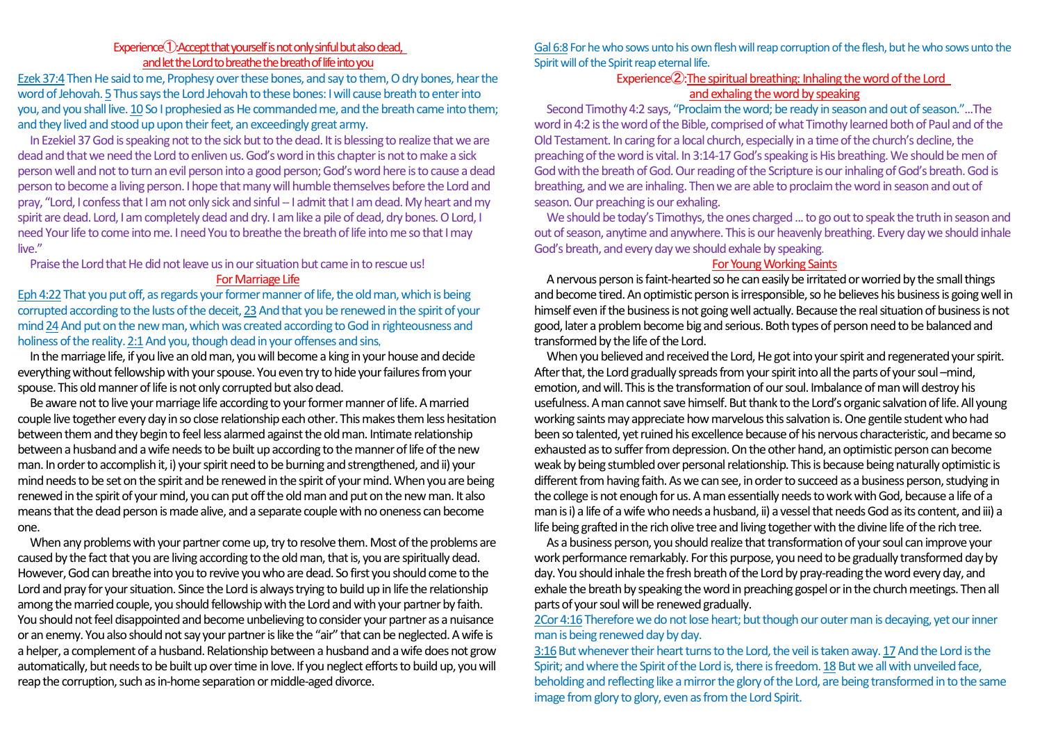## Experience<sup>(1</sup>): Accept that yourself is not only sinful but also dead, and let the Lord to breathethe breath of life into you

Ezek 37:4 Then He said to me, Prophesy over these bones, and say to them, O dry bones, hear the word of Jehovah. 5Thus says the Lord Jehovah to these bones: I will cause breath to enter into you, and you shall live. 10 So I prophesied as He commanded me, and the breath came into them; and they lived and stood up upon their feet, an exceedingly great army.

In Ezekiel 37 God is speaking not to the sick but to the dead. It is blessing to realize that we are dead and that we need the Lord to enliven us. God's word in this chapter is not to make a sick person well and not to turn an evil person into a good person; God's word here is to cause a dead person to become a living person. I hope that many will humble themselves before the Lord and pray, "Lord, I confess that I am not only sick and sinful -- I admit that I am dead. My heart and my spirit are dead. Lord, I am completely dead and dry. I am like a pile of dead, dry bones. O Lord, I need Your life to come into me. I need You to breathe the breath of life into me so that I may live."

Praise the Lord that He did not leave us in our situation but came in to rescue us! For Marriage Life

Eph 4:22 That you put off, as regards your former manner of life, the old man, which is being corrupted according to the lusts of the deceit, 23And that you be renewed in the spirit of your mind 24And put on the new man, which was created according to God in righteousness and holiness of the reality. 2:1And you, though dead in your offenses and sins,

In the marriage life, if you live an old man, you will become a king in your house and decide everything without fellowship with your spouse. You even try to hide your failuresfrom your spouse. This old manner of life is not only corrupted but also dead.

Be aware not to live your marriage life according to your former manner of life. A married couple live together every day in so close relationship each other. This makes them less hesitation between them and they begin to feel less alarmed against the old man. Intimate relationship between a husband and a wife needs to be built up according to the manner of life of the new man. In order to accomplish it,i) your spirit need to be burning and strengthened, and ii) your mind needs to be set on the spirit and be renewed in the spirit of your mind. When you are being renewed in the spirit of your mind, you can put off the old man and put on the new man. It also means that the dead person is made alive, and a separate couple with no oneness can become one.

When any problems with your partner come up, try to resolve them. Most of the problems are caused by the fact that you are living according to the old man, that is, you are spiritually dead. However, God can breathe into you to revive you who are dead. So first you should come to the Lord and pray for your situation. Since the Lord is always trying to build up in life the relationship among the married couple, you should fellowship with the Lord and with your partner by faith. You should not feel disappointed and become unbelieving to consider your partner as a nuisance or an enemy. You also should not say your partner islike the "air" that can be neglected. A wife is a helper, a complement of a husband. Relationship between a husband and a wife does not grow automatically, but needs to be built up over time in love. If you neglect efforts to build up, you will reap the corruption, such as in-home separation or middle-aged divorce.

Gal 6:8 For he who sows unto his own flesh will reap corruption of the flesh, but he who sows unto the Spirit will of the Spirit reap eternal life.

## Experience②:The spiritual breathing: Inhaling the word of the Lord and exhaling the word by speaking

Second Timothy 4:2 says, "Proclaim the word; be ready in season and out of season."...The word in 4:2 is the word of the Bible, comprised of what Timothy learned both of Paul and of the Old Testament. In caring for a local church, especially in a time of the church's decline, the preaching of the word is vital. In 3:14-17 God's speaking is His breathing. We should be men of God with the breath of God. Our reading of the Scripture is our inhaling of God's breath. God is breathing, and we are inhaling. Then we are able to proclaim the word in season and out of season. Our preaching is our exhaling.

We should be today's Timothys, the ones charged ... to go out to speak the truth in season and out of season, anytime and anywhere. This is our heavenly breathing. Every day we should inhale God's breath, and every day we should exhale by speaking.

#### For Young Working Saints

A nervous person is faint-hearted so he can easily be irritated or worried by the small things and become tired. An optimistic person is irresponsible, so he believes his business is going well in himself even if the business is not going well actually. Because the real situation of business is not good, later a problem become big and serious. Both types of person need to be balanced and transformed by the life of the Lord.

When you believed and received the Lord, He got into your spirit and regenerated your spirit. After that, the Lord gradually spreads from your spirit into all the parts of your soul –mind, emotion, and will. This is the transformation of our soul. Imbalance of man will destroy his usefulness. A man cannot save himself. But thank to the Lord's organic salvation of life. All young working saints may appreciate how marvelous this salvation is. One gentile student who had been so talented, yet ruined his excellence because of his nervous characteristic, and became so exhausted as to suffer from depression. On the other hand, an optimistic person can become weak by being stumbled over personal relationship. This is because being naturally optimistic is different from having faith. As we can see, in order to succeed as a business person, studying in the college is not enough for us. A man essentially needs to work with God, because a life of a man is i) a life of a wife who needs a husband, ii) a vessel that needs God as its content, and iii) a life being grafted in the rich olive tree and living together with the divine life of the rich tree.

As a business person, you should realize that transformation of your soul can improve your work performance remarkably. For this purpose, you need to be gradually transformed day by day. You should inhale the fresh breath of the Lord by pray-reading the word every day, and exhale the breath by speaking the word in preaching gospel or in the church meetings. Then all parts of your soul will be renewed gradually.

2Cor 4:16 Therefore we do not lose heart; but though our outer man is decaying, yet our inner man is being renewed day by day.

3:16But whenever their heart turns to the Lord, the veil is taken away. 17And the Lord is the Spirit; and where the Spirit of the Lord is, there is freedom. 18 But we all with unveiled face, beholding and reflecting like a mirror the glory of the Lord, are being transformed in to the same image from glory to glory, even as from the Lord Spirit.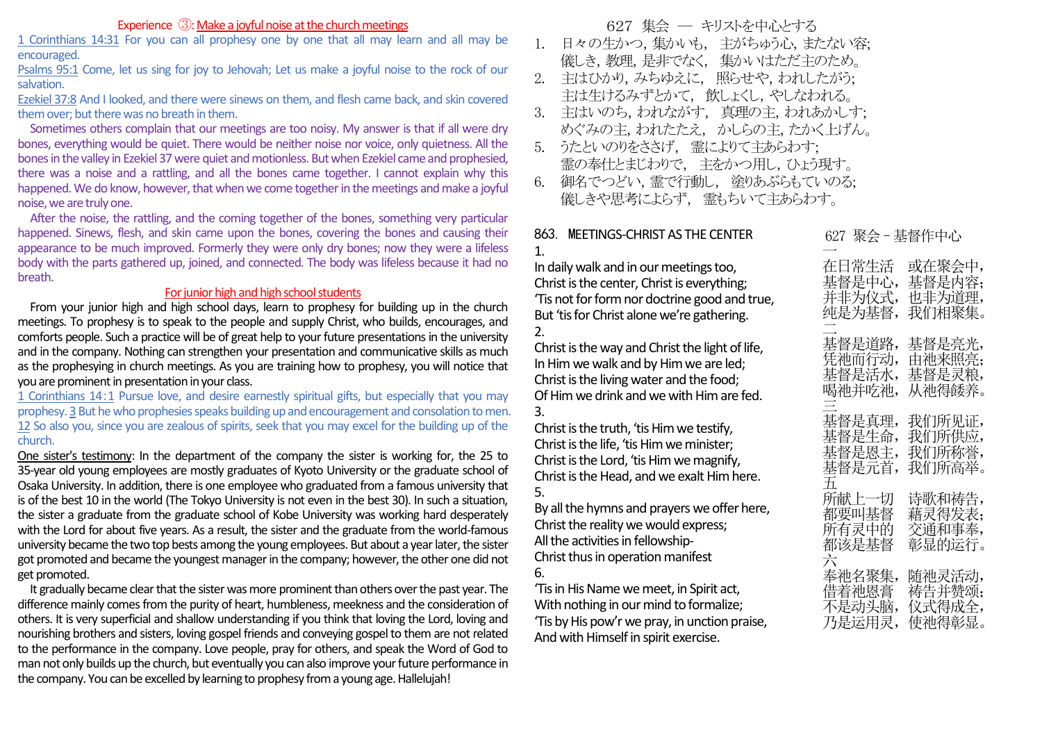## Experience ③: Make a joyful noise at the church meetings

1 Corinthians 14:31 For you can all prophesy one by one that all may learn and all may be encouraged.

Psalms 95:1 Come, let us sing for joy to Jehovah; Let us make a joyful noise to the rock of our salvation.

Ezekiel 37:8 And I looked, and there were sinews on them, and flesh came back, and skin covered them over; but there was no breath in them.

Sometimes others complain that our meetings are too noisy. My answer is that if all were dry bones, everything would be quiet. There would be neither noise nor voice, only quietness. All the bones in the valley in Ezekiel 37 were quiet and motionless. Butwhen Ezekiel came and prophesied, there was a noise and a rattling, and all the bones came together. I cannot explain why this happened. We do know, however, that when we come together in the meetings and make a joyful noise, we are truly one.

 After the noise, the rattling, and the coming together of the bones, something very particular happened. Sinews, flesh, and skin came upon the bones, covering the bones and causing their appearance to be much improved. Formerly they were only dry bones; now they were a lifeless body with the parts gathered up, joined, and connected. The body was lifeless because it had no breath.

#### For junior high and high school students

From your junior high and high school days, learn to prophesy for building up in the church meetings. To prophesy is to speak to the people and supply Christ, who builds, encourages, and comforts people. Such a practice will be of great help to your future presentations in the university and in the company. Nothing can strengthen your presentation and communicative skills as much as the prophesying in church meetings. As you are training how to prophesy, you will notice that you are prominent in presentation in your class.

1 Corinthians 14:1 Pursue love, and desire earnestly spiritual gifts, but especially that you may prophesy. 3 But he who prophesies speaks building up and encouragement and consolation to men. 12 So also you, since you are zealous of spirits, seek that you may excel for the building up of the church.

One sister's testimony: In the department of the company the sister is working for, the 25 to 35-year old young employees are mostly graduates of Kyoto University or the graduate school of Osaka University. In addition, there is one employee who graduated from a famous university that is of the best 10 in the world (The Tokyo University is not even in the best 30). In such a situation, the sister a graduate from the graduate school of Kobe University was working hard desperately with the Lord for about five years. As a result, the sister and the graduate from the world-famous university became the two top bests among the young employees. But about a year later, the sister got promoted and became the youngest manager in the company; however, the other one did not get promoted.

It gradually became clear that the sister was more prominent than others over the past year. The difference mainly comes from the purity of heart, humbleness, meekness and the consideration of others. It is very superficial and shallow understanding if you think that loving the Lord, loving and nourishing brothers and sisters, loving gospel friends and conveying gospel to them are not related to the performance in the company. Love people, pray for others, and speak the Word of God to man not only builds up the church, but eventually you can also improve your future performance in the company. You can be excelled by learning to prophesy from a young age. Hallelujah!

627 集会 ― キリストを中心とする

- 1. 日々の生かつ,集かいも, 主がちゅう心,またない容; 儀しき,教理,是非でなく, 集かいはただ主のため。
- 2. 主はひかり,みちゆえに, 照らせや,われしたがう; 主は生けるみずとかて, 飲しょくし,やしなわれる。
- 3. 主はいのち,われながす, 真理の主,われあかしす; めぐみの主,われたたえ, かしらの主,たかく上げん。
- 5. うたといのりをささげ, 霊によりて主あらわす; 霊の奉仕とまじわりで, 主をかつ用し,ひょう現す。
- 6. 御名でつどい,霊で行動し, 塗りあぶらもていのる; 儀しきや思考によらず, 霊もちいて主あらわす。

### 863. MEETINGS-CHRIST AS THE CENTER 1.

In daily walk and in our meetings too, Christ is the center, Christ is everything; 'Tis not for form nor doctrine good and true, But 'tis for Christ alone we're gathering.  $2<sub>1</sub>$ 

Christ is the way and Christ the light of life, In Him we walk and by Him we are led; Christ is the living water and the food; Of Him we drink and we with Him are fed. 3.

Christ is the truth, 'tis Him we testify, Christ is the life, 'tis Him we minister; Christ is the Lord, 'tis Him we magnify, Christ is the Head, and we exalt Him here. 5.

By all the hymns and prayers we offer here, Christ the reality we would express; All the activities in fellowship-Christ thus in operation manifest 6.

'Tis in His Name we meet, in Spirit act, With nothing in our mind to formalize; 'Tis by His pow'r we pray, in unction praise, And with Himself in spirit exercise.

| 627                                       | 聚会‐棊督作中心                             |
|-------------------------------------------|--------------------------------------|
| 在日常生活                                     | 或在聚会中,                               |
| 基督是中心,                                    | 基督是内容;                               |
| 并非为仪式,                                    | 也非为道理,                               |
| 纯是为基督,                                    | 我们相聚集。                               |
| 基督是道路,                                    | 基督是亮光,                               |
| 凭祂而行动,                                    | 由祂来照亮;                               |
| 基督是活水,                                    | 基督是灵粮,                               |
| 喝祂并吃祂,                                    | 从祂得餧养。                               |
| 基督是真理,<br>基督是生命,<br>基督是恩主,<br>基督是元首,<br>五 | 我们所见证,<br>我们所供应,<br>我们所称誉,<br>我们所高举。 |
| 所献上一切<br>都要叫基督<br>所有灵中的<br>都该是基督<br>六     | 诗歌和祷告,<br>藉灵得发表;<br>交通和事奉,<br>彰显的运行。 |
| 奉祂名聚集,                                    | 随祂灵活动,                               |
| 借着祂恩膏                                     | 祷告并赞颂;                               |
| 不是动头脑,                                    | 仪式得成全,                               |
| 乃是运用灵,                                    | 使祂得彰显。                               |